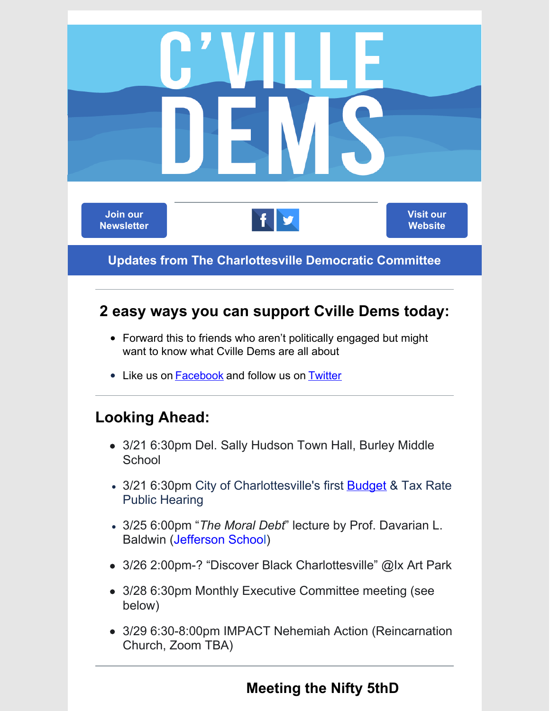

#### **Meeting the Nifty 5thD**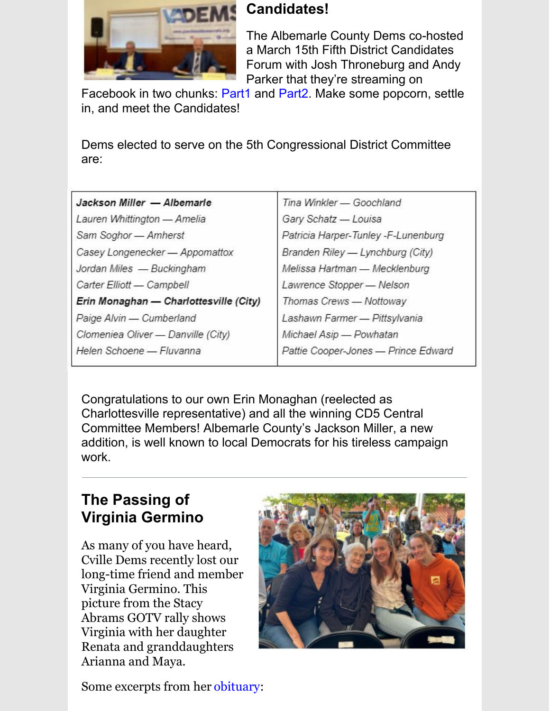

### **Candidates!**

The Albemarle County Dems co-hosted a March 15th Fifth District Candidates Forum with Josh Throneburg and Andy Parker that they're streaming on

Facebook in two chunks: Part1 and Part2. Make some popcorn, settle in, and meet the Candidates!

Dems elected to serve on the 5th Congressional District Committee are:

| Jackson Miller - Albemarle             |
|----------------------------------------|
| Lauren Whittington - Amelia            |
| Sam Soghor - Amherst                   |
| Casey Longenecker - Appomattox         |
| Jordan Miles - Buckingham              |
| Carter Elliott - Campbell              |
| Erin Monaghan - Charlottesville (City) |
| Paige Alvin - Cumberland               |
| Clomeniea Oliver - Danville (City)     |
| Helen Schoene - Fluvanna               |

Tina Winkler - Goochland Gary Schatz - Louisa Patricia Harper-Tunley -F-Lunenburg Branden Riley - Lynchburg (City) Melissa Hartman - Mecklenburg Lawrence Stopper - Nelson Thomas Crews - Nottoway Lashawn Farmer - Pittsylvania Michael Asip - Powhatan Pattie Cooper-Jones - Prince Edward

Congratulations to our own Erin Monaghan (reelected as Charlottesville representative) and all the winning CD5 Central Committee Members! Albemarle County's Jackson Miller, a new addition, is well known to local Democrats for his tireless campaign work.

# **The Passing of Virginia Germino**

As many of you have heard, Cville Dems recently lost our long-time friend and member Virginia Germino. This picture from the Stacy Abrams GOTV rally shows Virginia with her daughter Renata and granddaughters Arianna and Maya.



Some excerpts from her obituary: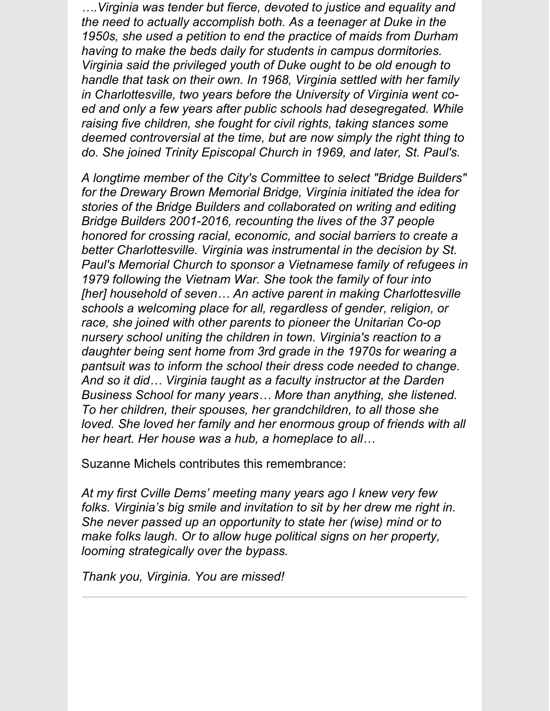*….Virginia was tender but fierce, devoted to justice and equality and the need to actually accomplish both. As a teenager at Duke in the 1950s, she used a petition to end the practice of maids from Durham having to make the beds daily for students in campus dormitories. Virginia said the privileged youth of Duke ought to be old enough to handle that task on their own. In 1968, Virginia settled with her family in Charlottesville, two years before the University of Virginia went coed and only a few years after public schools had desegregated. While raising five children, she fought for civil rights, taking stances some deemed controversial at the time, but are now simply the right thing to do. She joined Trinity Episcopal Church in 1969, and later, St. Paul's.*

*A longtime member of the City's Committee to select "Bridge Builders" for the Drewary Brown Memorial Bridge, Virginia initiated the idea for stories of the Bridge Builders and collaborated on writing and editing Bridge Builders 2001-2016, recounting the lives of the 37 people honored for crossing racial, economic, and social barriers to create a better Charlottesville. Virginia was instrumental in the decision by St. Paul's Memorial Church to sponsor a Vietnamese family of refugees in 1979 following the Vietnam War. She took the family of four into [her] household of seven… An active parent in making Charlottesville schools a welcoming place for all, regardless of gender, religion, or race, she joined with other parents to pioneer the Unitarian Co-op nursery school uniting the children in town. Virginia's reaction to a daughter being sent home from 3rd grade in the 1970s for wearing a pantsuit was to inform the school their dress code needed to change. And so it did… Virginia taught as a faculty instructor at the Darden Business School for many years… More than anything, she listened. To her children, their spouses, her grandchildren, to all those she loved. She loved her family and her enormous group of friends with all her heart. Her house was a hub, a homeplace to all…*

Suzanne Michels contributes this remembrance:

*At my first Cville Dems' meeting many years ago I knew very few folks. Virginia's big smile and invitation to sit by her drew me right in. She never passed up an opportunity to state her (wise) mind or to make folks laugh. Or to allow huge political signs on her property, looming strategically over the bypass.*

*Thank you, Virginia. You are missed!*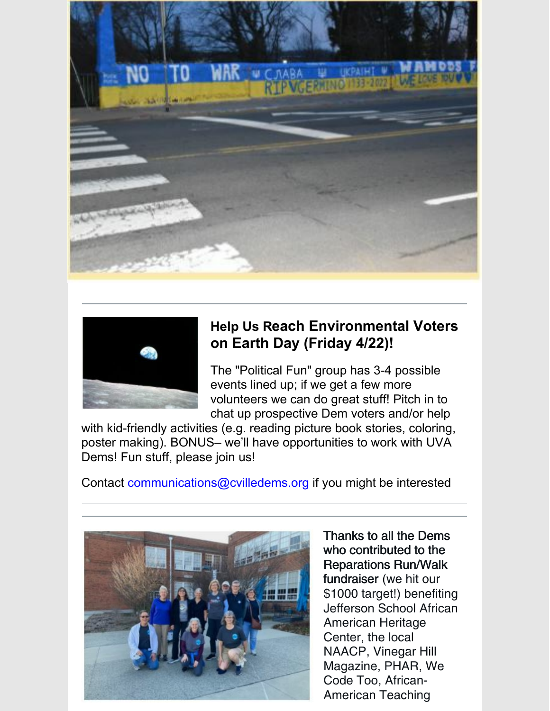



## **Help Us Reach Environmental Voters on Earth Day (Friday 4/22)!**

The "Political Fun" group has 3-4 possible events lined up; if we get a few more volunteers we can do great stuff! Pitch in to chat up prospective Dem voters and/or help

with kid-friendly activities (e.g. reading picture book stories, coloring, poster making). BONUS– we'll have opportunities to work with UVA Dems! Fun stuff, please join us!

Contact communications@cvilledems.org if you might be interested



Thanks to all the Dems who contributed to the Reparations Run/Walk fundraiser (we hit our \$1000 target!) benefiting Jefferson School African American Heritage Center, the local NAACP, Vinegar Hill Magazine, PHAR, We Code Too, African-American Teaching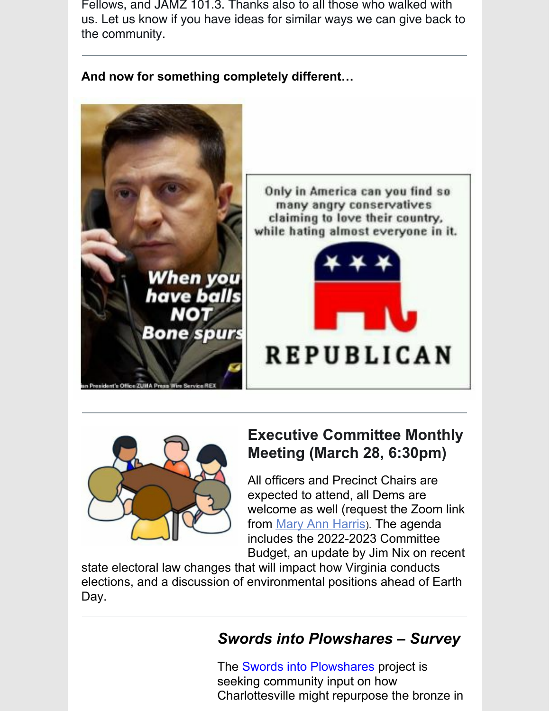Fellows, and JAMZ 101.3. Thanks also to all those who walked with us. Let us know if you have ideas for similar ways we can give back to the community.



**And now for something completely different…**

Only in America can you find so many angry conservatives claiming to love their country, while hating almost everyone in it.





## **Executive Committee Monthly Meeting (March 28, 6:30pm)**

All officers and Precinct Chairs are expected to attend, all Dems are welcome as well (request the Zoom link from Mary Ann Harris). The agenda includes the 2022-2023 Committee Budget, an update by Jim Nix on recent

state electoral law changes that will impact how Virginia conducts elections, and a discussion of environmental positions ahead of Earth Day.

# *Swords into Plowshares – Survey*

The Swords into Plowshares project is seeking community input on how Charlottesville might repurpose the bronze in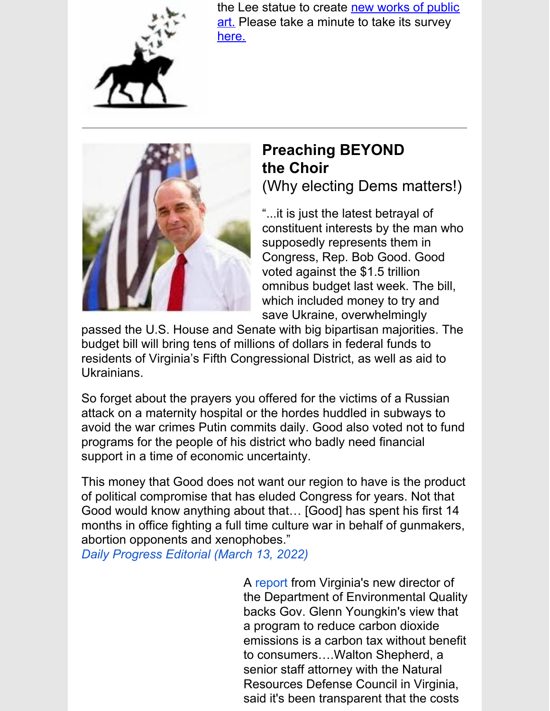

the Lee statue to create new works of public art. Please take a minute to take its survey here.



## **Preaching BEYOND the Choir** (Why electing Dems matters!)

"...it is just the latest betrayal of constituent interests by the man who supposedly represents them in Congress, Rep. Bob Good. Good voted against the \$1.5 trillion omnibus budget last week. The bill, which included money to try and save Ukraine, overwhelmingly

passed the U.S. House and Senate with big bipartisan majorities. The budget bill will bring tens of millions of dollars in federal funds to residents of Virginia's Fifth Congressional District, as well as aid to Ukrainians.

So forget about the prayers you offered for the victims of a Russian attack on a maternity hospital or the hordes huddled in subways to avoid the war crimes Putin commits daily. Good also voted not to fund programs for the people of his district who badly need financial support in a time of economic uncertainty.

This money that Good does not want our region to have is the product of political compromise that has eluded Congress for years. Not that Good would know anything about that… [Good] has spent his first 14 months in office fighting a full time culture war in behalf of gunmakers, abortion opponents and xenophobes."

*Daily Progress Editorial (March 13, 2022)*

A report from Virginia's new director of the Department of Environmental Quality backs Gov. Glenn Youngkin's view that a program to reduce carbon dioxide emissions is a carbon tax without benefit to consumers….Walton Shepherd, a senior staff attorney with the Natural Resources Defense Council in Virginia, said it's been transparent that the costs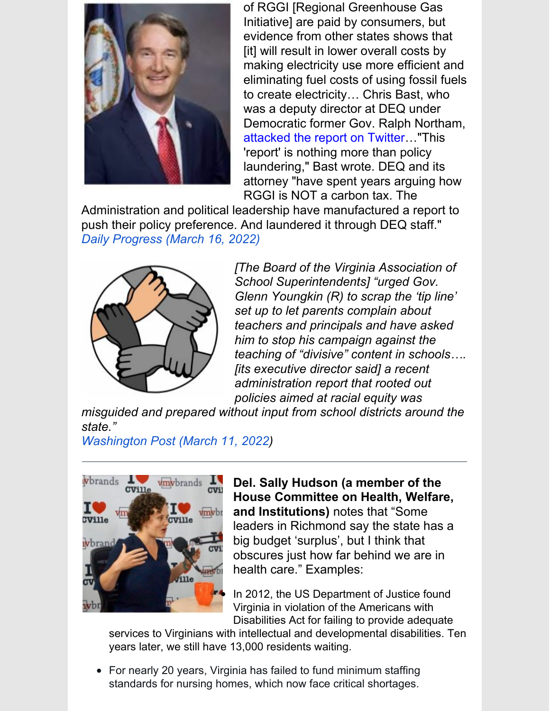

of RGGI [Regional Greenhouse Gas Initiative] are paid by consumers, but evidence from other states shows that [it] will result in lower overall costs by making electricity use more efficient and eliminating fuel costs of using fossil fuels to create electricity… Chris Bast, who was a deputy director at DEQ under Democratic former Gov. Ralph Northam, attacked the report on Twitter…"This 'report' is nothing more than policy laundering," Bast wrote. DEQ and its attorney "have spent years arguing how RGGI is NOT a carbon tax. The

Administration and political leadership have manufactured a report to push their policy preference. And laundered it through DEQ staff." *Daily Progress (March 16, 2022)*



*[The Board of the Virginia Association of School Superintendents] "urged Gov. Glenn Youngkin (R) to scrap the 'tip line' set up to let parents complain about teachers and principals and have asked him to stop his campaign against the teaching of "divisive" content in schools…. [its executive director said] a recent administration report that rooted out policies aimed at racial equity was*

*misguided and prepared without input from school districts around the state."*

*Washington Post (March 11, 2022)*



**Del. Sally Hudson (a member of the House Committee on Health, Welfare, and Institutions)** notes that "Some leaders in Richmond say the state has a big budget 'surplus', but I think that obscures just how far behind we are in health care." Examples:

In 2012, the US Department of Justice found Virginia in violation of the Americans with Disabilities Act for failing to provide adequate

services to Virginians with intellectual and developmental disabilities. Ten years later, we still have 13,000 residents waiting.

For nearly 20 years, Virginia has failed to fund minimum staffing standards for nursing homes, which now face critical shortages.